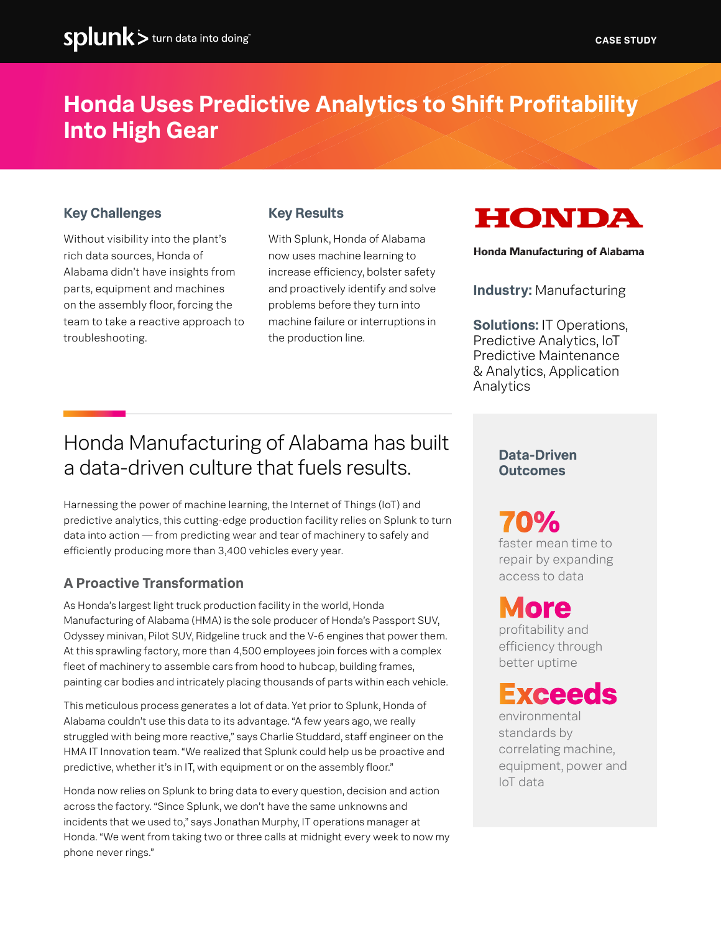## **Honda Uses Predictive Analytics to Shift Profitability Into High Gear**

### **Key Challenges**

Without visibility into the plant's rich data sources, Honda of Alabama didn't have insights from parts, equipment and machines on the assembly floor, forcing the team to take a reactive approach to troubleshooting.

### **Key Results**

With Splunk, Honda of Alabama now uses machine learning to increase efficiency, bolster safety and proactively identify and solve problems before they turn into machine failure or interruptions in the production line.



Honda Manufacturing of Alabama

**Industry:** Manufacturing

**Solutions:** IT Operations, Predictive Analytics, IoT Predictive Maintenance & Analytics, Application Analytics

### Honda Manufacturing of Alabama has built a data-driven culture that fuels results.

Harnessing the power of machine learning, the Internet of Things (IoT) and predictive analytics, this cutting-edge production facility relies on Splunk to turn data into action — from predicting wear and tear of machinery to safely and efficiently producing more than 3,400 vehicles every year.

### **A Proactive Transformation**

As Honda's largest light truck production facility in the world, Honda Manufacturing of Alabama (HMA) is the sole producer of Honda's Passport SUV, Odyssey minivan, Pilot SUV, Ridgeline truck and the V-6 engines that power them. At this sprawling factory, more than 4,500 employees join forces with a complex fleet of machinery to assemble cars from hood to hubcap, building frames, painting car bodies and intricately placing thousands of parts within each vehicle.

This meticulous process generates a lot of data. Yet prior to Splunk, Honda of Alabama couldn't use this data to its advantage. "A few years ago, we really struggled with being more reactive," says Charlie Studdard, staff engineer on the HMA IT Innovation team. "We realized that Splunk could help us be proactive and predictive, whether it's in IT, with equipment or on the assembly floor."

Honda now relies on Splunk to bring data to every question, decision and action across the factory. "Since Splunk, we don't have the same unknowns and incidents that we used to," says Jonathan Murphy, IT operations manager at Honda. "We went from taking two or three calls at midnight every week to now my phone never rings."

### **Data-Driven Outcomes**

**70%**

faster mean time to repair by expanding access to data

# **More**

profitability and efficiency through better uptime

## **Exceeds**

environmental standards by correlating machine, equipment, power and IoT data